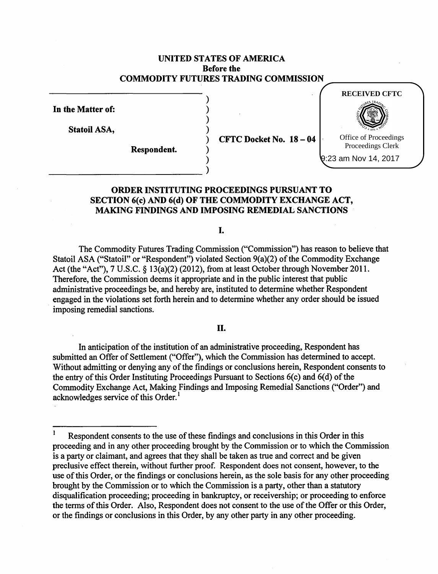# UNITED STATES OF AMERICA Before the COMMODITY FUTURES TRADING COMMISSION

)

) ) )

) )

In the Matter of:

Statoil ASA,

Respondent.

 $~\rightarrow$  )

 $CFTC$  Docket No.  $18 - 04$ 



9:23 am Nov 14, 2017

# ORDER INSTITUTING PROCEEDINGS PURSUANT TO SECTION 6(c) AND 6(d) OF THE COMMODITY EXCHANGE ACT, MAKING FINDINGS AND IMPOSING REMEDIAL SANCTIONS

I.

The Commodity Futures Trading Commission ("Commission") has reason to believe that Statoil ASA ("Statoil" or "Respondent") violated Section 9(a)(2) of the Commodity Exchange Act (the "Act"), 7 U.S.C. § 13(a)(2) (2012), from at least October through November 2011. Therefore, the Commission deems it appropriate and in the public interest that public administrative proceedings be, and hereby are, instituted to determine whether Respondent engaged in the violations set forth herein and to determine whether any order should be issued imposing remedial sanctions.

II.

In anticipation of the institution of an administrative proceeding, Respondent has submitted an Offer of Settlement ("Offer"), which the Commission has determined to accept. Without admitting or denying any of the findings or conclusions herein, Respondent consents to the entry of this Order Instituting Proceedings Pursuant to Sections  $6(c)$  and  $6(d)$  of the Commodity Exchange Act, Making Findings and Imposing Remedial Sanctions ("Order") and acknowledges service of this Order.<sup>1</sup>

Respondent consents to the use of these findings and conclusions in this Order in this proceeding and in any other proceeding brought by the Commission or to which the Commission is a party or claimant, and agrees that they shall be taken as true and correct and be given preclusive effect therein, without further proof. Respondent does not consent, however, to the use of this Order, or the findings or conclusions herein, as the sole basis for any other proceeding brought by the Commission or to which the Commission is a party, other than a statutory disqualification proceeding; proceeding in bankruptcy, or receivership; or proceeding to enforce the terms of this Order. Also, Respondent does not consent to the use of the Offer or this Order, or the findings or conclusions in this Order, by any other party in any other proceeding.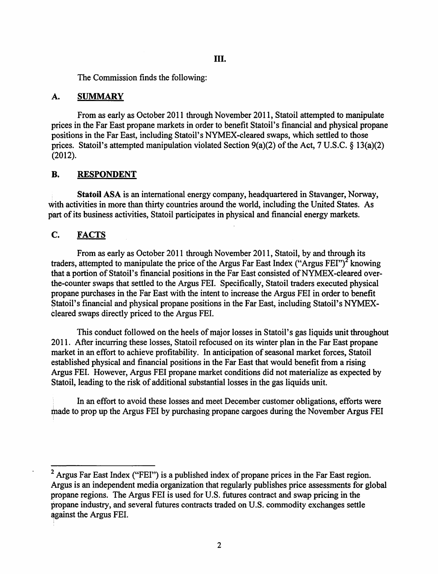The Commission finds the following:

## A. SUMMARY

From as early as October 2011 through November 2011, Statoil attempted to manipulate prices in the Far East propane markets in order to benefit Statoil's financial and physical propane positions in the Far East, including Statoil's NYMEX-cleared swaps, which settled to those prices. Statoil's attempted manipulation violated Section  $9(a)(2)$  of the Act, 7 U.S.C. § 13(a)(2) (2012).

# B. RESPONDENT

Statoil ASA is an international energy company, headquartered in Stavanger, Norway, with activities in more than thirty countries around the world, including the United States. As part of its business activities, Statoil participates in physical and financial energy markets.

# C. FACTS

From as early as October 2011 through November 2011, Statoil, by and through its traders, attempted to manipulate the price of the Argus Far East Index ("Argus FEI")<sup>2</sup> knowing that a portion of Statoil's financial positions in the Far East consisted of NYMEX-cleared overthe-counter swaps that settled to the Argus FEI. Specifically, Statoil traders executed physical propane purchases in the Far East with the intent to increase the Argus FEI in order to benefit Statoil's financial and physical propane positions in the Far East, including Statoil's NYMEX cleared swaps directly priced to the Argus FEI.

This conduct followed on the heels of major losses in Statoil's gas liquids unit throughout 2011. After incurring these losses, Statoil refocused on its winter plan in the Far East propane market in an effort to achieve profitability. In anticipation of seasonal market forces, Statoil established physical and financial positions in the Far East that would benefit from a rising Argus FEI. However, Argus FEI propane market conditions did not materialize as expected by Statoil, leading to the risk of additional substantial losses in the gas liquids unit.

In an effort to avoid these losses and meet December customer obligations, efforts were made to prop up the Argus FEI by purchasing propane cargoes during the November Argus FEI

 $<sup>2</sup>$  Argus Far East Index ("FEI") is a published index of propane prices in the Far East region.</sup> Argus is an independent media organization that regularly publishes price assessments for global propane regions. The Argus FEI is used for U.S. futures contract and swap pricing in the propane industry, and several futures contracts traded on U.S. commodity exchanges settle against the Argus FEI.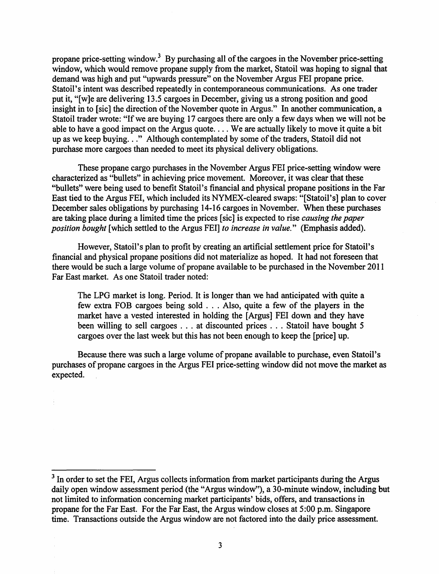propane price-setting window.<sup>3</sup> By purchasing all of the cargoes in the November price-setting window, which would remove propane supply from the market, Statoil was hoping to signal that demand was high and put "upwards pressure" on the November Argus FEI propane price. Statoil's intent was described repeatedly in contemporaneous communications. As one trader put it, "[w]e are delivering 13.5 cargoes in December, giving us a strong position and good insight in to [sic] the direction of the November quote in Argus." In another communication, a Statoil trader wrote: "If we are buying 17 cargoes there are only a few days when we will not be able to have a good impact on the Argus quote .... We are actually likely to move it quite a bit up as we keep buying..." Although contemplated by some of the traders, Statoil did not purchase more cargoes than needed to meet its physical delivery obligations.

These propane cargo purchases in the November Argus FEI price-setting window were characterized as "bullets" in achieving price movement. Moreover, it was clear that these "bullets" were being used to benefit Statoil's financial and physical propane positions in the Far East tied to the Argus FEI, which included its NYMEX-cleared swaps: "[Statoil's] plan to cover December sales obligations by purchasing 14-16 cargoes in November. When these purchases are taking place during a limited time the prices [sic] is expected to rise *causing the paper position bought* [which settled to the Argus FEI] *to increase in value."* (Emphasis added).

However, Statoil's plan to profit by creating an artificial settlement price for Statoil's financial and physical propane positions did not materialize as hoped. It had not foreseen that there would be such a large volume of propane available to be purchased in the November 2011 Far East market. As one Statoil trader noted:

The LPG market is long. Period. It is longer than we had anticipated with quite a few extra FOB cargoes being sold ... Also, quite a few of the players in the market have a vested interested in holding the [Argus] FEI down and they have been willing to sell cargoes . . . at discounted prices . . . Statoil have bought 5 cargoes over the last week but this has not been enough to keep the [price] up.

Because there was such a large volume of propane available to purchase, even Statoil's purchases of propane cargoes in the Argus FEI price-setting window did not move the market as expected.

<sup>&</sup>lt;sup>3</sup> In order to set the FEI, Argus collects information from market participants during the Argus daily open window assessment period (the "Argus window"), a 30-minute window, including but not limited to information concerning market participants' bids, offers, and transactions in propane for the Far East. For the Far East, the Argus window closes at 5:00 p.m. Singapore time. Transactions outside the Argus window are not factored into the daily price assessment.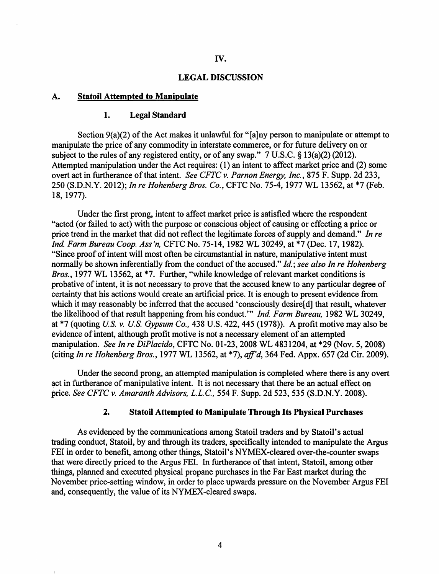## IV.

#### LEGAL DISCUSSION

## A. Statoil Attempted to Manipulate

#### 1. Legal Standard

Section  $9(a)(2)$  of the Act makes it unlawful for "[a]ny person to manipulate or attempt to manipulate the price of any commodity in interstate commerce, or for future delivery on or subject to the rules of any registered entity, or of any swap." 7 U.S.C. § 13(a)(2) (2012). Attempted manipulation under the Act requires: ( 1) an intent to affect market price and (2) some overt act in furtherance of that intent. *See CFTC v. Parnon Energy, Inc.*, 875 F. Supp. 2d 233, 250 (S.D.N.Y. 2012); *In re Hohenberg Bros. Co.,* CFTC No. 75-4, 1977 WL 13562, at \*7 (Feb. 18, 1977).

Under the first prong, intent to affect market price is satisfied where the respondent "acted (or failed to act) with the purpose or conscious object of causing or effecting a price or price trend in the market that did not reflect the legitimate forces of supply and demand." In re *Ind Farm Bureau Coop. Ass'n,* CFTC No. 75-14, 1982 WL 30249, at \*7 (Dec. 17, 1982). "Since proof of intent will most often be circumstantial in nature, manipulative intent must normally be shown inferentially from the conduct of the accused." *Id.; see also In re Hohenberg Bros.*, 1977 WL 13562, at \*7. Further, "while knowledge of relevant market conditions is probative of intent, it is not necessary to prove that the accused knew to any particular degree of certainty that his actions would create an artificial price. It is enough to present evidence from which it may reasonably be inferred that the accused 'consciously desire[d] that result, whatever the likelihood of that result happening from his conduct." *Ind. Farm Bureau*, 1982 WL 30249, at \*7 (quoting *U.S. v. U.S. Gypsum Co.,* 438 U.S. 422, 445 (1978)). A profit motive may also be evidence of intent, although profit motive is not a necessary element of an attempted manipulation. *See In re DiP/acido,* CFTC No. 01-23, 2008 WL 4831204, at \*29 (Nov. 5, 2008) (citing *In re Hohenberg Bros.,* 1977 WL 13562, at \*7), *aff'd,* 364 Fed. Appx. 657 (2d Cir. 2009).

Under the second prong, an attempted manipulation is completed where there is any overt act in furtherance of manipulative intent. It is not necessary that there be an actual effect on price. *See CFTC v. Amaranth Advisors,* L.L.C., 554 F. Supp. 2d 523, 535 (S.D.N.Y. 2008).

## 2. Statoil Attempted to Manipulate Through Its Physical Purchases

As evidenced by the communications among Statoil traders and by Statoil' s actual trading conduct, Statoil, by and through its traders, specifically intended to manipulate the Argus FEI in order to benefit, among other things, Statoil's NYMEX-cleared over-the-counter swaps that were directly priced to the Argus FEI. In furtherance of that intent, Statoil, among other things, planned and executed physical propane purchases in the Far East market during the November price-setting window, in order to place upwards pressure on the November Argus FEI and, consequently, the value of its NYMEX-cleared swaps.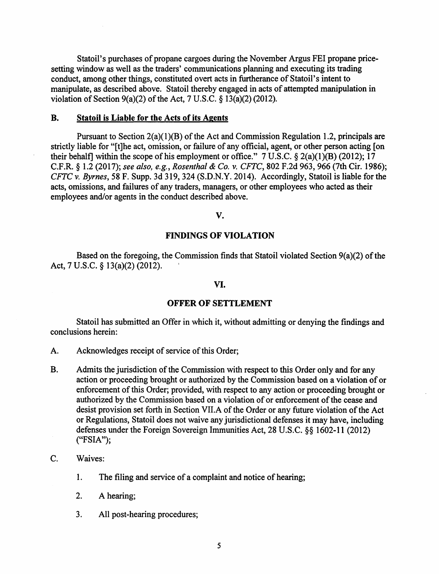Statoil's purchases of propane cargoes during the November Argus FEI propane pricesetting window as well as the traders' communications planning and executing its trading conduct, among other things, constituted overt acts in furtherance of Statoil's intent to manipulate, as described above. Statoil thereby engaged in acts of attempted manipulation in violation of Section  $9(a)(2)$  of the Act, 7 U.S.C. § 13(a)(2) (2012).

## B. Statoil is Liable for the Acts of its Agents

Pursuant to Section 2(a)(1)(B) of the Act and Commission Regulation 1.2, principals are strictly liable for "[t]he act, omission, or failure of any official, agent, or other person acting [on their behalf] within the scope of his employment or office."  $7 \text{ U.S.C.} \$   $2(a)(1)(B)$  (2012); 17 C.F.R. § 1.2 (2017); *see also, e.g., Rosenthal* & *Co.* v. *CFTC,* 802 F.2d 963, 966 (7th Cir. 1986); *CFTC* v. *Byrnes,* 58 F. Supp. 3d 319, 324 (S.D.N.Y. 2014). Accordingly, Statoil is liable for the acts, omissions, and failures of any traders, managers, or other employees who acted as their employees and/or agents in the conduct described above.

#### v.

#### FINDINGS OF VIOLATION

Based on the foregoing, the Commission finds that Statoil violated Section  $9(a)(2)$  of the Act, 7 U.S.C. § 13(a)(2) (2012). '

#### VI.

## OFFER OF SETTLEMENT

Statoil has submitted an Offer in which it, without admitting or denying the findings and conclusions herein:

- A. Acknowledges receipt of service of this Order;
- B. Admits the jurisdiction of the Commission with respect to this Order only and for any action or proceeding brought or authorized by the Commission based on a violation of or enforcement of this Order; provided, with respect to any action or proceeding brought or authorized by the Commission based on a violation of or enforcement of the cease and desist provision set forth in Section VII.A of the Order or any future violation of the Act or Regulations, Statoil does not waive any jurisdictional defenses it may have, including defenses under the Foreign Sovereign Immunities Act, 28 U.S.C. §§ 1602-11 (2012) ("FSIA");
- C. Waives:
	- 1. The filing and service of a complaint and notice of hearing;
	- 2. A hearing;
	- 3. All post-hearing procedures;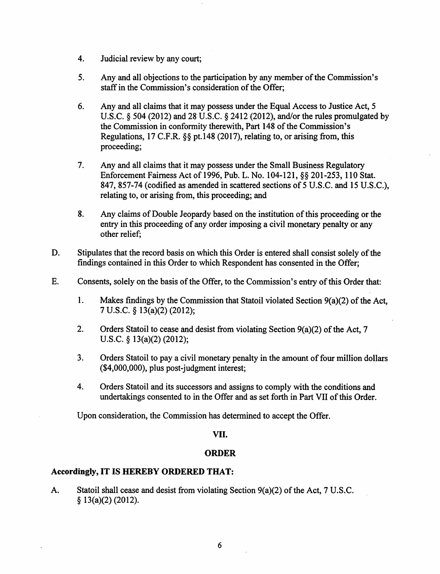- 4. Judicial review by any court;
- 5. Any and all objections to the participation by any member of the Commission's staff in the Commission's consideration of the Offer;
- 6. Any and all claims that it may possess under the Equal Access to Justice Act, 5 U.S.C. § 504 (2012) and 28 U.S.C. § 2412 (2012), and/or the rules promulgated by the Commission in conformity therewith, Part 148 of the Commission's Regulations, 17 C.F.R. §§ pt.148 (2017), relating to, or arising from, this proceeding;
- 7. Any and all claims that it may possess under the Small Business Regulatory Enforcement Fairness Act of 1996, Pub. L. No. 104-121, §§ 201-253, 110 Stat. 847, 857-74 (codified as amended in scattered sections of 5 U.S.C. and 15 U.S.C.), relating to, or arising from, this proceeding; and
- 8. Any claims of Double Jeopardy based on the institution of this proceeding or the entry in this proceeding of any order imposing a civil monetary penalty or any other relief;
- D. Stipulates that the record basis on which this Order is entered shall consist solely of the findings contained in this Order to which Respondent has consented in the Offer;
- E. Consents, solely on the basis of the Offer, to the Commission's entry of this Order that:
	- 1. Makes findings by the Commission that Statoil violated Section  $9(a)(2)$  of the Act, 7 U.S.C. § 13(a)(2) (2012);
	- 2. Orders Statoil to cease and desist from violating Section  $9(a)(2)$  of the Act, 7 U.S.C. § 13(a)(2) (2012);
	- 3. Orders Statoil to pay a civil monetary penalty in the amount of four million dollars (\$4,000,000), plus post-judgment interest;
	- 4. Orders Statoil and its successors and assigns to comply with the conditions and undertakings consented to in the Offer and as set forth in Part VII of this Order.

Upon consideration, the Commission has determined to accept the Offer.

# VII.

# ORDER

# Accordingly, IT IS HEREBY ORDERED THAT:

A. Statoil shall cease and desist from violating Section  $9(a)(2)$  of the Act, 7 U.S.C. § 13(a)(2) (2012).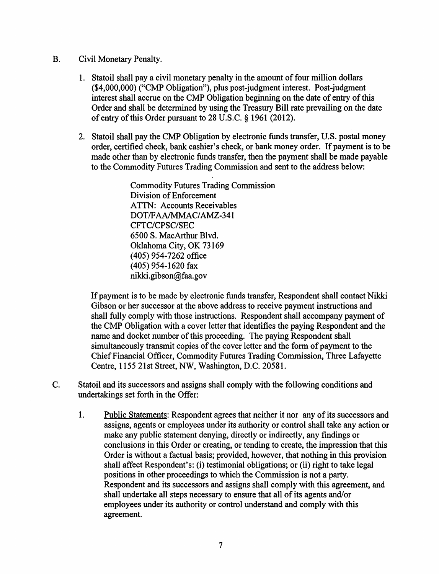- B. Civil Monetary Penalty.
	- 1. Statoil shall pay a civil monetary penalty in the amount of four million dollars (\$4,000,000) ("CMP Obligation"), plus post-judgment interest. Post-judgment interest shall accrue on the CMP Obligation beginning on the date of entry of this Order and shall be determined by using the Treasury Bill rate prevailing on the date of entry of this Order pursuant to 28 U.S.C. § 1961 (2012).
	- 2. Statoil shall pay the CMP Obligation by electronic funds transfer, U.S. postal money order, certified check, bank cashier's check, or bank money order. If payment is to be made other than by electronic funds transfer, then the payment shall be made payable to the Commodity Futures Trading Commission and sent to the address below:

Commodity Futures Trading Commission Division of Enforcement ATTN: Accounts Receivables DOT/FAA/MMAC/AMZ-341 CFTC/CPSC/SEC 6500 S. MacArthur Blvd. Oklahoma City, OK 73169 (405) 954-7262 office (405) 954-1620 fax nikki.gibson@faa.gov

If payment is to be made by electronic funds transfer, Respondent shall contact Nikki Gibson or her successor at the above address to receive payment instructions and shall fully comply with those instructions. Respondent shall accompany payment of the CMP Obligation with a cover letter that identifies the paying Respondent and the name and docket number of this proceeding. The paying Respondent shall simultaneously transmit copies of the cover letter and the form of payment to the Chief Financial Officer, Commodity Futures Trading Commission, Three Lafayette Centre, 1155 21st Street, NW, Washington, D.C. 20581.

- C. Statoil and its successors and assigns shall comply with the following conditions and undertakings set forth in the Offer:
	- 1. Public Statements: Respondent agrees that neither it nor any of its successors and assigns, agents or employees under its authority or control shall take any action or make any public statement denying, directly or indirectly, any findings or conclusions in this Order or creating, or tending to create, the impression that this Order is without a factual basis; provided, however, that nothing in this provision shall affect Respondent's: (i) testimonial obligations; or (ii) right to take legal positions in other proceedings to which the Commission is not a party. Respondent and its successors and assigns shall comply with this agreement, and shall undertake all steps necessary to ensure that all of its agents and/or employees under its authority or control understand and comply with this agreement.